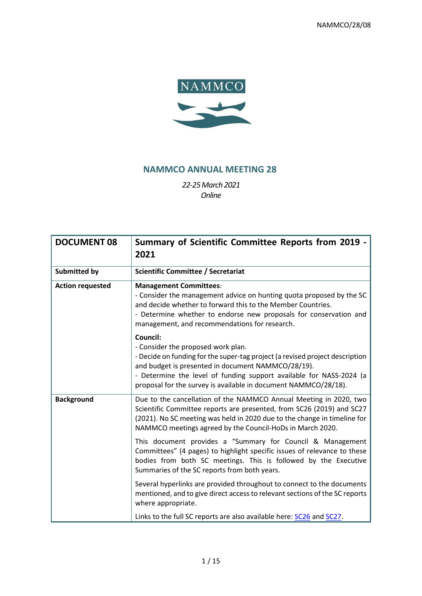

## **NAMMCO ANNUAL MEETING 28**

*22-25March 2021 Online*

| <b>DOCUMENT 08</b>      | Summary of Scientific Committee Reports from 2019 -<br>2021                                                                                                                                                                                                                                                                           |  |  |
|-------------------------|---------------------------------------------------------------------------------------------------------------------------------------------------------------------------------------------------------------------------------------------------------------------------------------------------------------------------------------|--|--|
| <b>Submitted by</b>     | <b>Scientific Committee / Secretariat</b>                                                                                                                                                                                                                                                                                             |  |  |
| <b>Action requested</b> | <b>Management Committees:</b><br>- Consider the management advice on hunting quota proposed by the SC<br>and decide whether to forward this to the Member Countries.<br>- Determine whether to endorse new proposals for conservation and<br>management, and recommendations for research.                                            |  |  |
|                         | <b>Council:</b><br>- Consider the proposed work plan.<br>- Decide on funding for the super-tag project (a revised project description<br>and budget is presented in document NAMMCO/28/19).<br>- Determine the level of funding support available for NASS-2024 (a<br>proposal for the survey is available in document NAMMCO/28/18). |  |  |
| <b>Background</b>       | Due to the cancellation of the NAMMCO Annual Meeting in 2020, two<br>Scientific Committee reports are presented, from SC26 (2019) and SC27<br>(2021). No SC meeting was held in 2020 due to the change in timeline for<br>NAMMCO meetings agreed by the Council-HoDs in March 2020.                                                   |  |  |
|                         | This document provides a "Summary for Council & Management<br>Committees" (4 pages) to highlight specific issues of relevance to these<br>bodies from both SC meetings. This is followed by the Executive<br>Summaries of the SC reports from both years.                                                                             |  |  |
|                         | Several hyperlinks are provided throughout to connect to the documents<br>mentioned, and to give direct access to relevant sections of the SC reports<br>where appropriate.                                                                                                                                                           |  |  |
|                         | Links to the full SC reports are also available here: SC26 and SC27.                                                                                                                                                                                                                                                                  |  |  |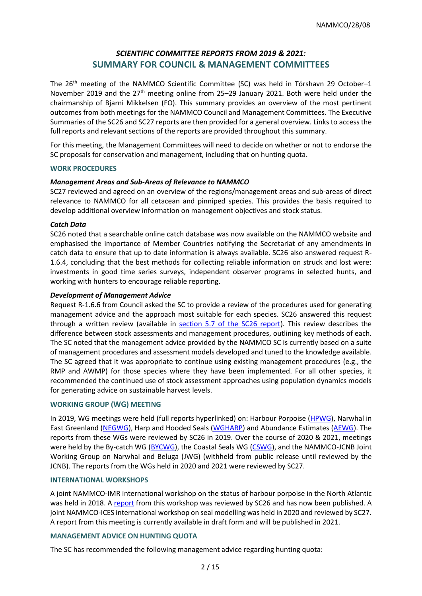## *SCIENTIFIC COMMITTEE REPORTS FROM 2019 & 2021:* **SUMMARY FOR COUNCIL & MANAGEMENT COMMITTEES**

The 26<sup>th</sup> meeting of the NAMMCO Scientific Committee (SC) was held in Tórshavn 29 October-1 November 2019 and the  $27<sup>th</sup>$  meeting online from 25–29 January 2021. Both were held under the chairmanship of Bjarni Mikkelsen (FO). This summary provides an overview of the most pertinent outcomes from both meetings for the NAMMCO Council and Management Committees. The Executive Summaries of the SC26 and SC27 reports are then provided for a general overview. Links to access the full reports and relevant sections of the reports are provided throughout this summary.

For this meeting, the Management Committees will need to decide on whether or not to endorse the SC proposals for conservation and management, including that on hunting quota.

#### **WORK PROCEDURES**

## *Management Areas and Sub-Areas of Relevance to NAMMCO*

SC27 reviewed and agreed on an overview of the regions/management areas and sub-areas of direct relevance to NAMMCO for all cetacean and pinniped species. This provides the basis required to develop additional overview information on management objectives and stock status.

## *Catch Data*

SC26 noted that a searchable online catch database was now available on the NAMMCO website and emphasised the importance of Member Countries notifying the Secretariat of any amendments in catch data to ensure that up to date information is always available. SC26 also answered request R-1.6.4, concluding that the best methods for collecting reliable information on struck and lost were: investments in good time series surveys, independent observer programs in selected hunts, and working with hunters to encourage reliable reporting.

## *Development of Management Advice*

Request R-1.6.6 from Council asked the SC to provide a review of the procedures used for generating management advice and the approach most suitable for each species. SC26 answered this request through a written review (available in [section 5.7 of the SC26 report\)](https://nammco.no/wp-content/uploads/2017/01/final-report_sc26-2019_rev230120.pdf#page=22). This review describes the difference between stock assessments and management procedures, outlining key methods of each. The SC noted that the management advice provided by the NAMMCO SC is currently based on a suite of management procedures and assessment models developed and tuned to the knowledge available. The SC agreed that it was appropriate to continue using existing management procedures (e.g., the RMP and AWMP) for those species where they have been implemented. For all other species, it recommended the continued use of stock assessment approaches using population dynamics models for generating advice on sustainable harvest levels.

## **WORKING GROUP (WG) MEETING**

In 2019, WG meetings were held (full reports hyperlinked) on: Harbour Porpoise [\(HPWG\)](https://nammco.no/wp-content/uploads/2019/02/final-report_hpwg-2019.pdf), Narwhal in East Greenland [\(NEGWG\)](https://nammco.no/wp-content/uploads/2019/11/final-report_negwg-2019.pdf), Harp and Hooded Seals [\(WGHARP\)](https://nammco.no/wp-content/uploads/2019/11/final-report_wgharp-2019.pdf) and Abundance Estimates [\(AEWG\)](https://nammco.no/wp-content/uploads/2019/11/final-report_aewg-20192.pdf). The reports from these WGs were reviewed by SC26 in 2019. Over the course of 2020 & 2021, meetings were held by the By-catch WG [\(BYCWG\)](https://nammco.no/wp-content/uploads/2017/01/report_bycwg_2020.pdf), the Coastal Seals WG [\(CSWG\)](https://nammco.no/wp-content/uploads/2019/02/final-report_cswg_2021.pdf), and the NAMMCO-JCNB Joint Working Group on Narwhal and Beluga (JWG) (withheld from public release until reviewed by the JCNB). The reports from the WGs held in 2020 and 2021 were reviewed by SC27.

#### **INTERNATIONAL WORKSHOPS**

A joint NAMMCO-IMR international workshop on the status of harbour porpoise in the North Atlantic was held in 2018. A [report](https://nammco.no/wp-content/uploads/2020/03/final-report_hpws_2018_rev2020.pdf) from this workshop was reviewed by SC26 and has now been published. A joint NAMMCO-ICES international workshop on seal modelling was held in 2020 and reviewed by SC27. A report from this meeting is currently available in draft form and will be published in 2021.

#### **MANAGEMENT ADVICE ON HUNTING QUOTA**

The SC has recommended the following management advice regarding hunting quota: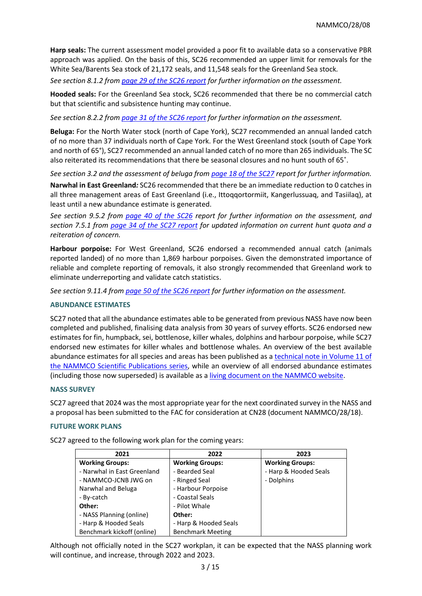**Harp seals:** The current assessment model provided a poor fit to available data so a conservative PBR approach was applied. On the basis of this, SC26 recommended an upper limit for removals for the White Sea/Barents Sea stock of 21,172 seals, and 11,548 seals for the Greenland Sea stock*.* 

*See section 8.1.2 from page 29 [of the SC26 report](https://nammco.no/wp-content/uploads/2017/01/final-report_sc26-2019_rev230120.pdf#page=35) for further information on the assessment.* 

**Hooded seals:** For the Greenland Sea stock, SC26 recommended that there be no commercial catch but that scientific and subsistence hunting may continue.

*See section 8.2.2 from page 31 [of the SC26 report](https://nammco.no/wp-content/uploads/2017/01/final-report_sc26-2019_rev230120.pdf#page=38f) for further information on the assessment.* 

**Beluga:** For the North Water stock (north of Cape York), SC27 recommended an annual landed catch of no more than 37 individuals north of Cape York. For the West Greenland stock (south of Cape York and north of 65°), SC27 recommended an annual landed catch of no more than 265 individuals. The SC also reiterated its recommendations that there be seasonal closures and no hunt south of 65˚.

*See section 3.2 and the assessment of beluga from [page 18 of the SC27](https://nammco.no/wp-content/uploads/2017/01/final_report_sc27_2021.pdf#page=18) report for further information.* 

**Narwhal in East Greenland***:* SC26 recommended that there be an immediate reduction to 0 catches in all three management areas of East Greenland (i.e., Ittoqqortormiit, Kangerlussuaq, and Tasiilaq), at least until a new abundance estimate is generated.

*See section 9.5.2 from page 40 [of the SC26](https://nammco.no/wp-content/uploads/2017/01/final-report_sc26-2019_rev230120.pdf#page=47) report for further information on the assessment, and section 7.5.1 from [page 34 of the SC27 report](https://nammco.no/wp-content/uploads/2017/01/final_report_sc27_2021.pdf#page=34) for updated information on current hunt quota and a reiteration of concern.* 

**Harbour porpoise:** For West Greenland, SC26 endorsed a recommended annual catch (animals reported landed) of no more than 1,869 harbour porpoises. Given the demonstrated importance of reliable and complete reporting of removals, it also strongly recommended that Greenland work to eliminate underreporting and validate catch statistics.

*See section 9.11.4 from [page 50 of the SC26 report](https://nammco.no/wp-content/uploads/2017/01/final-report_sc26-2019_rev230120.pdf#page=57) for further information on the assessment.*

#### **ABUNDANCE ESTIMATES**

SC27 noted that all the abundance estimates able to be generated from previous NASS have now been completed and published, finalising data analysis from 30 years of survey efforts. SC26 endorsed new estimates for fin, humpback, sei, bottlenose, killer whales, dolphins and harbour porpoise, while SC27 endorsed new estimates for killer whales and bottlenose whales. An overview of the best available abundance estimates for all species and areas has been published as a [technical note in Volume 11 of](https://septentrio.uit.no/index.php/NAMMCOSP/article/view/5732)  [the NAMMCO Scientific Publications series,](https://septentrio.uit.no/index.php/NAMMCOSP/article/view/5732) while an overview of all endorsed abundance estimates (including those now superseded) is available as [a living document on the NAMMCO website.](https://nammco.no/topics/abundance_estimates_reports/)

## **NASS SURVEY**

SC27 agreed that 2024 was the most appropriate year for the next coordinated survey in the NASS and a proposal has been submitted to the FAC for consideration at CN28 (document NAMMCO/28/18).

#### **FUTURE WORK PLANS**

SC27 agreed to the following work plan for the coming years:

| 2021                        | 2022                     | 2023                   |  |
|-----------------------------|--------------------------|------------------------|--|
| <b>Working Groups:</b>      | <b>Working Groups:</b>   | <b>Working Groups:</b> |  |
| - Narwhal in East Greenland | - Bearded Seal           | - Harp & Hooded Seals  |  |
| - NAMMCO-JCNB JWG on        | - Ringed Seal            | - Dolphins             |  |
| Narwhal and Beluga          | - Harbour Porpoise       |                        |  |
| - By-catch                  | - Coastal Seals          |                        |  |
| Other:                      | - Pilot Whale            |                        |  |
| - NASS Planning (online)    | Other:                   |                        |  |
| - Harp & Hooded Seals       | - Harp & Hooded Seals    |                        |  |
| Benchmark kickoff (online)  | <b>Benchmark Meeting</b> |                        |  |

Although not officially noted in the SC27 workplan, it can be expected that the NASS planning work will continue, and increase, through 2022 and 2023.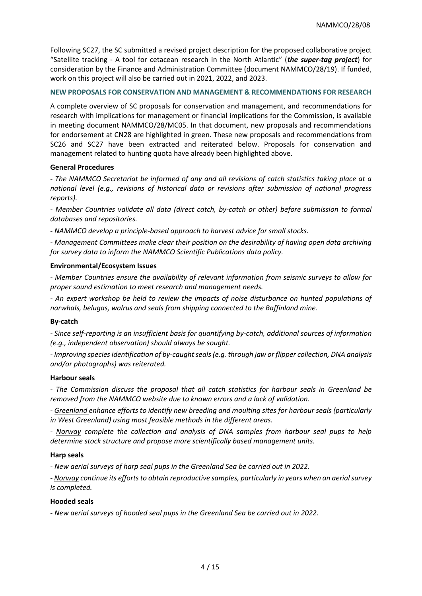Following SC27, the SC submitted a revised project description for the proposed collaborative project "Satellite tracking - A tool for cetacean research in the North Atlantic" (*the super-tag project*) for consideration by the Finance and Administration Committee (document NAMMCO/28/19). If funded, work on this project will also be carried out in 2021, 2022, and 2023.

## **NEW PROPOSALS FOR CONSERVATION AND MANAGEMENT & RECOMMENDATIONS FOR RESEARCH**

A complete overview of SC proposals for conservation and management, and recommendations for research with implications for management or financial implications for the Commission, is available in meeting document NAMMCO/28/MC05. In that document, new proposals and recommendations for endorsement at CN28 are highlighted in green. These new proposals and recommendations from SC26 and SC27 have been extracted and reiterated below. Proposals for conservation and management related to hunting quota have already been highlighted above.

## **General Procedures**

*- The NAMMCO Secretariat be informed of any and all revisions of catch statistics taking place at a national level (e.g., revisions of historical data or revisions after submission of national progress reports).*

*- Member Countries validate all data (direct catch, by-catch or other) before submission to formal databases and repositories.*

*- NAMMCO develop a principle-based approach to harvest advice for small stocks.* 

*- Management Committees make clear their position on the desirability of having open data archiving for survey data to inform the NAMMCO Scientific Publications data policy.* 

## **Environmental/Ecosystem Issues**

*- Member Countries ensure the availability of relevant information from seismic surveys to allow for proper sound estimation to meet research and management needs.* 

*- An expert workshop be held to review the impacts of noise disturbance on hunted populations of narwhals, belugas, walrus and seals from shipping connected to the Baffinland mine.*

## **By-catch**

*- Since self-reporting is an insufficient basis for quantifying by-catch, additional sources of information (e.g., independent observation) should always be sought.*

*- Improving species identification of by-caught seals (e.g. through jaw or flipper collection, DNA analysis and/or photographs) was reiterated.* 

## **Harbour seals**

*- The Commission discuss the proposal that all catch statistics for harbour seals in Greenland be removed from the NAMMCO website due to known errors and a lack of validation.*

*- Greenland enhance efforts to identify new breeding and moulting sites for harbour seals (particularly in West Greenland) using most feasible methods in the different areas.* 

*- Norway complete the collection and analysis of DNA samples from harbour seal pups to help determine stock structure and propose more scientifically based management units.*

## **Harp seals**

*- New aerial surveys of harp seal pups in the Greenland Sea be carried out in 2022.* 

*- Norway continue its efforts to obtain reproductive samples, particularly in years when an aerial survey is completed.*

## **Hooded seals**

*- New aerial surveys of hooded seal pups in the Greenland Sea be carried out in 2022.*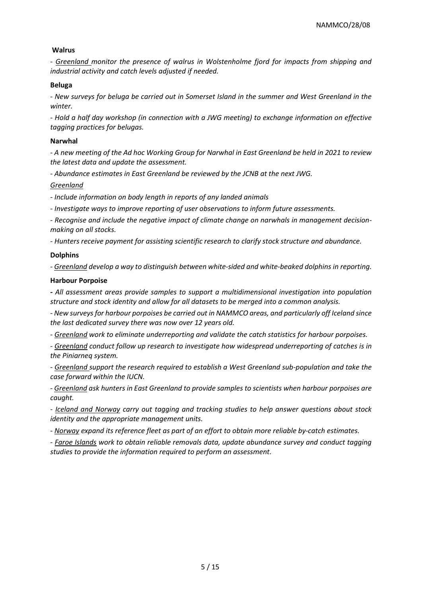## **Walrus**

*- Greenland monitor the presence of walrus in Wolstenholme fjord for impacts from shipping and industrial activity and catch levels adjusted if needed.*

## **Beluga**

*- New surveys for beluga be carried out in Somerset Island in the summer and West Greenland in the winter.*

*- Hold a half day workshop (in connection with a JWG meeting) to exchange information on effective tagging practices for belugas.*

## **Narwhal**

*- A new meeting of the Ad hoc Working Group for Narwhal in East Greenland be held in 2021 to review the latest data and update the assessment.*

*- Abundance estimates in East Greenland be reviewed by the JCNB at the next JWG.*

## *Greenland*

*- Include information on body length in reports of any landed animals*

*- Investigate ways to improve reporting of user observations to inform future assessments.* 

*- Recognise and include the negative impact of climate change on narwhals in management decisionmaking on all stocks.* 

*- Hunters receive payment for assisting scientific research to clarify stock structure and abundance.*

## **Dolphins**

*- Greenland develop a way to distinguish between white-sided and white-beaked dolphins in reporting.*

## **Harbour Porpoise**

*- All assessment areas provide samples to support a multidimensional investigation into population structure and stock identity and allow for all datasets to be merged into a common analysis.* 

*- New surveys for harbour porpoises be carried out in NAMMCO areas, and particularly off Iceland since the last dedicated survey there was now over 12 years old.*

*- Greenland work to eliminate underreporting and validate the catch statistics for harbour porpoises.*

*- Greenland conduct follow up research to investigate how widespread underreporting of catches is in the Piniarneq system.*

*- Greenland support the research required to establish a West Greenland sub-population and take the case forward within the IUCN.*

*- Greenland ask hunters in East Greenland to provide samples to scientists when harbour porpoises are caught.* 

*- Iceland and Norway carry out tagging and tracking studies to help answer questions about stock identity and the appropriate management units.* 

*- Norway expand its reference fleet as part of an effort to obtain more reliable by-catch estimates.*

*- Faroe Islands work to obtain reliable removals data, update abundance survey and conduct tagging studies to provide the information required to perform an assessment.*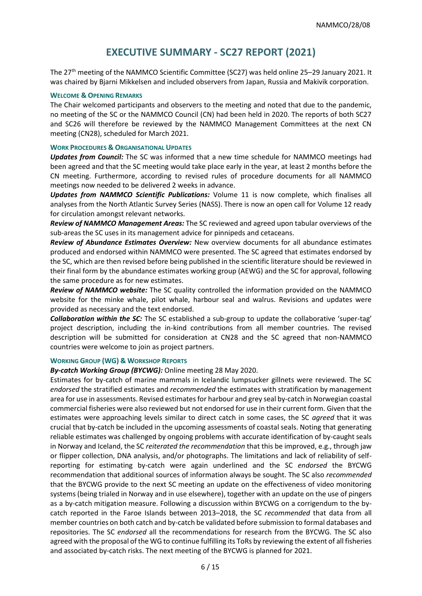# **EXECUTIVE SUMMARY - SC27 REPORT (2021)**

The 27th meeting of the NAMMCO Scientific Committee (SC27) was held online 25–29 January 2021. It was chaired by Bjarni Mikkelsen and included observers from Japan, Russia and Makivik corporation.

#### **WELCOME & OPENING REMARKS**

The Chair welcomed participants and observers to the meeting and noted that due to the pandemic, no meeting of the SC or the NAMMCO Council (CN) had been held in 2020. The reports of both SC27 and SC26 will therefore be reviewed by the NAMMCO Management Committees at the next CN meeting (CN28), scheduled for March 2021.

## **WORK PROCEDURES & ORGANISATIONAL UPDATES**

*Updates from Council:* The SC was informed that a new time schedule for NAMMCO meetings had been agreed and that the SC meeting would take place early in the year, at least 2 months before the CN meeting. Furthermore, according to revised rules of procedure documents for all NAMMCO meetings now needed to be delivered 2 weeks in advance.

*Updates from NAMMCO Scientific Publications:* Volume 11 is now complete, which finalises all analyses from the North Atlantic Survey Series (NASS). There is now an open call for Volume 12 ready for circulation amongst relevant networks.

*Review of NAMMCO Management Areas:* The SC reviewed and agreed upon tabular overviews of the sub-areas the SC uses in its management advice for pinnipeds and cetaceans.

*Review of Abundance Estimates Overview:* New overview documents for all abundance estimates produced and endorsed within NAMMCO were presented. The SC agreed that estimates endorsed by the SC, which are then revised before being published in the scientific literature should be reviewed in their final form by the abundance estimates working group (AEWG) and the SC for approval, following the same procedure as for new estimates.

*Review of NAMMCO website:* The SC quality controlled the information provided on the NAMMCO website for the minke whale, pilot whale, harbour seal and walrus. Revisions and updates were provided as necessary and the text endorsed.

*Collaboration within the SC:* The SC established a sub-group to update the collaborative 'super-tag' project description, including the in-kind contributions from all member countries. The revised description will be submitted for consideration at CN28 and the SC agreed that non-NAMMCO countries were welcome to join as project partners.

#### **WORKING GROUP (WG) & WORKSHOP REPORTS**

*By-catch Working Group (BYCWG):* Online meeting 28 May 2020.

Estimates for by-catch of marine mammals in Icelandic lumpsucker gillnets were reviewed. The SC *endorsed* the stratified estimates and *recommended* the estimates with stratification by management area for use in assessments. Revised estimates for harbour and grey seal by-catch in Norwegian coastal commercial fisheries were also reviewed but not endorsed for use in their current form. Given that the estimates were approaching levels similar to direct catch in some cases, the SC *agreed* that it was crucial that by-catch be included in the upcoming assessments of coastal seals. Noting that generating reliable estimates was challenged by ongoing problems with accurate identification of by-caught seals in Norway and Iceland, the SC *reiterated the recommendation* that this be improved, e.g., through jaw or flipper collection, DNA analysis, and/or photographs. The limitations and lack of reliability of selfreporting for estimating by-catch were again underlined and the SC *endorsed* the BYCWG recommendation that additional sources of information always be sought. The SC also *recommended* that the BYCWG provide to the next SC meeting an update on the effectiveness of video monitoring systems (being trialed in Norway and in use elsewhere), together with an update on the use of pingers as a by-catch mitigation measure. Following a discussion within BYCWG on a corrigendum to the bycatch reported in the Faroe Islands between 2013–2018, the SC *recommended* that data from all member countries on both catch and by-catch be validated before submission to formal databases and repositories. The SC *endorsed* all the recommendations for research from the BYCWG. The SC also agreed with the proposal of the WG to continue fulfilling its ToRs by reviewing the extent of all fisheries and associated by-catch risks. The next meeting of the BYCWG is planned for 2021.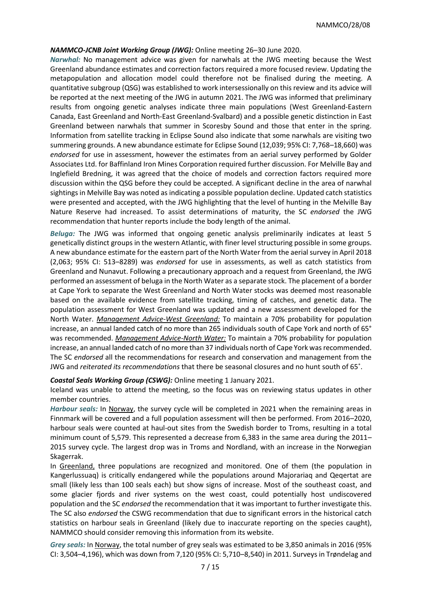## *NAMMCO-JCNB Joint Working Group (JWG):* Online meeting 26–30 June 2020.

*Narwhal:* No management advice was given for narwhals at the JWG meeting because the West Greenland abundance estimates and correction factors required a more focused review. Updating the metapopulation and allocation model could therefore not be finalised during the meeting. A quantitative subgroup (QSG) was established to work intersessionally on this review and its advice will be reported at the next meeting of the JWG in autumn 2021. The JWG was informed that preliminary results from ongoing genetic analyses indicate three main populations (West Greenland-Eastern Canada, East Greenland and North-East Greenland-Svalbard) and a possible genetic distinction in East Greenland between narwhals that summer in Scoresby Sound and those that enter in the spring. Information from satellite tracking in Eclipse Sound also indicate that some narwhals are visiting two summering grounds. A new abundance estimate for Eclipse Sound (12,039; 95% CI: 7,768–18,660) was *endorsed* for use in assessment, however the estimates from an aerial survey performed by Golder Associates Ltd. for Baffinland Iron Mines Corporation required further discussion. For Melville Bay and Inglefield Bredning, it was agreed that the choice of models and correction factors required more discussion within the QSG before they could be accepted. A significant decline in the area of narwhal sightings in Melville Bay was noted as indicating a possible population decline. Updated catch statistics were presented and accepted, with the JWG highlighting that the level of hunting in the Melville Bay Nature Reserve had increased. To assist determinations of maturity, the SC *endorsed* the JWG recommendation that hunter reports include the body length of the animal.

*Beluga:* The JWG was informed that ongoing genetic analysis preliminarily indicates at least 5 genetically distinct groups in the western Atlantic, with finer level structuring possible in some groups. A new abundance estimate for the eastern part of the North Water from the aerial survey in April 2018 (2,063; 95% CI: 513–8289) was *endorsed* for use in assessments, as well as catch statistics from Greenland and Nunavut. Following a precautionary approach and a request from Greenland, the JWG performed an assessment of beluga in the North Water as a separate stock. The placement of a border at Cape York to separate the West Greenland and North Water stocks was deemed most reasonable based on the available evidence from satellite tracking, timing of catches, and genetic data. The population assessment for West Greenland was updated and a new assessment developed for the North Water. *Management Advice-West Greenland:* To maintain a 70% probability for population increase, an annual landed catch of no more than 265 individuals south of Cape York and north of 65° was recommended. *Management Advice-North Water:* To maintain a 70% probability for population increase, an annual landed catch of no more than 37 individuals north of Cape York was recommended. The SC *endorsed* all the recommendations for research and conservation and management from the JWG and *reiterated its recommendations* that there be seasonal closures and no hunt south of 65˚.

#### *Coastal Seals Working Group (CSWG):* Online meeting 1 January 2021.

Iceland was unable to attend the meeting, so the focus was on reviewing status updates in other member countries.

*Harbour seals:* In Norway, the survey cycle will be completed in 2021 when the remaining areas in Finnmark will be covered and a full population assessment will then be performed. From 2016–2020, harbour seals were counted at haul-out sites from the Swedish border to Troms, resulting in a total minimum count of 5,579. This represented a decrease from 6,383 in the same area during the 2011– 2015 survey cycle. The largest drop was in Troms and Nordland, with an increase in the Norwegian Skagerrak.

In Greenland, three populations are recognized and monitored. One of them (the population in Kangerlussuaq) is critically endangered while the populations around Majorariaq and Qeqertat are small (likely less than 100 seals each) but show signs of increase. Most of the southeast coast, and some glacier fjords and river systems on the west coast, could potentially host undiscovered population and the SC *endorsed* the recommendation that it was important to further investigate this. The SC also *endorsed* the CSWG recommendation that due to significant errors in the historical catch statistics on harbour seals in Greenland (likely due to inaccurate reporting on the species caught), NAMMCO should consider removing this information from its website.

*Grey seals:* In Norway, the total number of grey seals was estimated to be 3,850 animals in 2016 (95% CI: 3,504–4,196), which was down from 7,120 (95% CI: 5,710–8,540) in 2011. Surveys in Trøndelag and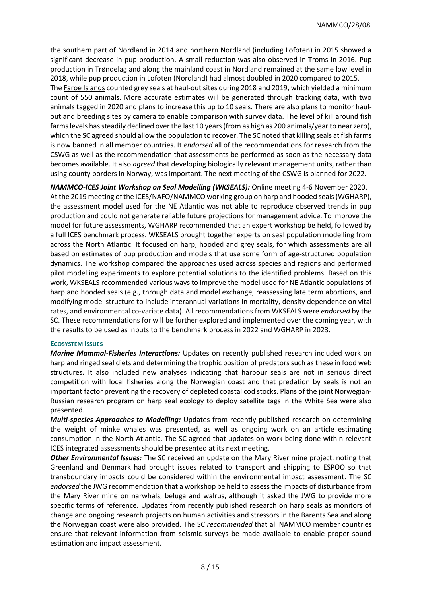the southern part of Nordland in 2014 and northern Nordland (including Lofoten) in 2015 showed a significant decrease in pup production. A small reduction was also observed in Troms in 2016. Pup production in Trøndelag and along the mainland coast in Nordland remained at the same low level in 2018, while pup production in Lofoten (Nordland) had almost doubled in 2020 compared to 2015. The Faroe Islands counted grey seals at haul-out sites during 2018 and 2019, which yielded a minimum count of 550 animals. More accurate estimates will be generated through tracking data, with two animals tagged in 2020 and plans to increase this up to 10 seals. There are also plans to monitor haulout and breeding sites by camera to enable comparison with survey data. The level of kill around fish farms levels has steadily declined over the last 10 years (from as high as 200 animals/year to near zero), which the SC agreed should allow the population to recover. The SC noted that killing seals at fish farms is now banned in all member countries. It *endorsed* all of the recommendations for research from the CSWG as well as the recommendation that assessments be performed as soon as the necessary data becomes available. It also *agreed* that developing biologically relevant management units, rather than using county borders in Norway, was important. The next meeting of the CSWG is planned for 2022.

*NAMMCO-ICES Joint Workshop on Seal Modelling (WKSEALS):* Online meeting 4-6 November 2020. At the 2019 meeting of the ICES/NAFO/NAMMCO working group on harp and hooded seals (WGHARP), the assessment model used for the NE Atlantic was not able to reproduce observed trends in pup production and could not generate reliable future projections for management advice. To improve the model for future assessments, WGHARP recommended that an expert workshop be held, followed by a full ICES benchmark process. WKSEALS brought together experts on seal population modelling from across the North Atlantic. It focused on harp, hooded and grey seals, for which assessments are all based on estimates of pup production and models that use some form of age-structured population dynamics. The workshop compared the approaches used across species and regions and performed pilot modelling experiments to explore potential solutions to the identified problems. Based on this work, WKSEALS recommended various ways to improve the model used for NE Atlantic populations of harp and hooded seals (e.g., through data and model exchange, reassessing late term abortions, and modifying model structure to include interannual variations in mortality, density dependence on vital rates, and environmental co-variate data). All recommendations from WKSEALS were *endorsed* by the SC. These recommendations for will be further explored and implemented over the coming year, with the results to be used as inputs to the benchmark process in 2022 and WGHARP in 2023.

#### **ECOSYSTEM ISSUES**

*Marine Mammal-Fisheries Interactions:* Updates on recently published research included work on harp and ringed seal diets and determining the trophic position of predators such as these in food web structures. It also included new analyses indicating that harbour seals are not in serious direct competition with local fisheries along the Norwegian coast and that predation by seals is not an important factor preventing the recovery of depleted coastal cod stocks. Plans of the joint Norwegian-Russian research program on harp seal ecology to deploy satellite tags in the White Sea were also presented.

*Multi-species Approaches to Modelling:* Updates from recently published research on determining the weight of minke whales was presented, as well as ongoing work on an article estimating consumption in the North Atlantic. The SC agreed that updates on work being done within relevant ICES integrated assessments should be presented at its next meeting.

*Other Environmental Issues:* The SC received an update on the Mary River mine project, noting that Greenland and Denmark had brought issues related to transport and shipping to ESPOO so that transboundary impacts could be considered within the environmental impact assessment. The SC *endorsed* the JWG recommendation that a workshop be held to assess the impacts of disturbance from the Mary River mine on narwhals, beluga and walrus, although it asked the JWG to provide more specific terms of reference. Updates from recently published research on harp seals as monitors of change and ongoing research projects on human activities and stressors in the Barents Sea and along the Norwegian coast were also provided. The SC *recommended* that all NAMMCO member countries ensure that relevant information from seismic surveys be made available to enable proper sound estimation and impact assessment.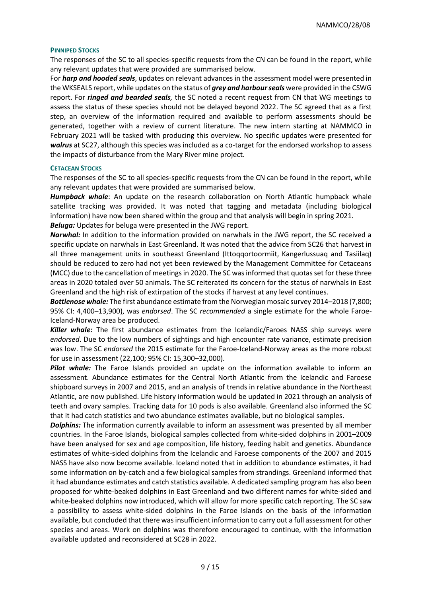#### **PINNIPED STOCKS**

The responses of the SC to all species-specific requests from the CN can be found in the report, while any relevant updates that were provided are summarised below.

For *harp and hooded seals*, updates on relevant advances in the assessment model were presented in the WKSEALS report, while updates on the status of *grey and harbour seals* were provided in the CSWG report. For *ringed and bearded seals,* the SC noted a recent request from CN that WG meetings to assess the status of these species should not be delayed beyond 2022. The SC agreed that as a first step, an overview of the information required and available to perform assessments should be generated, together with a review of current literature. The new intern starting at NAMMCO in February 2021 will be tasked with producing this overview. No specific updates were presented for *walrus* at SC27, although this species was included as a co-target for the endorsed workshop to assess the impacts of disturbance from the Mary River mine project.

#### **CETACEAN STOCKS**

The responses of the SC to all species-specific requests from the CN can be found in the report, while any relevant updates that were provided are summarised below.

*Humpback whale*: An update on the research collaboration on North Atlantic humpback whale satellite tracking was provided. It was noted that tagging and metadata (including biological information) have now been shared within the group and that analysis will begin in spring 2021. *Beluga:* Updates for beluga were presented in the JWG report.

*Narwhal:* In addition to the information provided on narwhals in the JWG report, the SC received a specific update on narwhals in East Greenland. It was noted that the advice from SC26 that harvest in all three management units in southeast Greenland (Ittoqqortoormiit, Kangerlussuaq and Tasiilaq) should be reduced to zero had not yet been reviewed by the Management Committee for Cetaceans (MCC) due to the cancellation of meetings in 2020. The SC was informed that quotas set for these three areas in 2020 totaled over 50 animals. The SC reiterated its concern for the status of narwhals in East Greenland and the high risk of extirpation of the stocks if harvest at any level continues.

*Bottlenose whale:* The first abundance estimate from the Norwegian mosaic survey 2014–2018 (7,800; 95% CI: 4,400–13,900), was *endorsed*. The SC *recommended* a single estimate for the whole Faroe-Iceland-Norway area be produced.

*Killer whale:* The first abundance estimates from the Icelandic/Faroes NASS ship surveys were *endorsed*. Due to the low numbers of sightings and high encounter rate variance, estimate precision was low. The SC *endorsed* the 2015 estimate for the Faroe-Iceland-Norway areas as the more robust for use in assessment (22,100; 95% CI: 15,300–32,000).

**Pilot whale:** The Faroe Islands provided an update on the information available to inform an assessment. Abundance estimates for the Central North Atlantic from the Icelandic and Faroese shipboard surveys in 2007 and 2015, and an analysis of trends in relative abundance in the Northeast Atlantic, are now published. Life history information would be updated in 2021 through an analysis of teeth and ovary samples. Tracking data for 10 pods is also available. Greenland also informed the SC that it had catch statistics and two abundance estimates available, but no biological samples.

*Dolphins:* The information currently available to inform an assessment was presented by all member countries. In the Faroe Islands, biological samples collected from white-sided dolphins in 2001–2009 have been analysed for sex and age composition, life history, feeding habit and genetics. Abundance estimates of white-sided dolphins from the Icelandic and Faroese components of the 2007 and 2015 NASS have also now become available. Iceland noted that in addition to abundance estimates, it had some information on by-catch and a few biological samples from strandings. Greenland informed that it had abundance estimates and catch statistics available. A dedicated sampling program has also been proposed for white-beaked dolphins in East Greenland and two different names for white-sided and white-beaked dolphins now introduced, which will allow for more specific catch reporting. The SC saw a possibility to assess white-sided dolphins in the Faroe Islands on the basis of the information available, but concluded that there was insufficient information to carry out a full assessment for other species and areas. Work on dolphins was therefore encouraged to continue, with the information available updated and reconsidered at SC28 in 2022.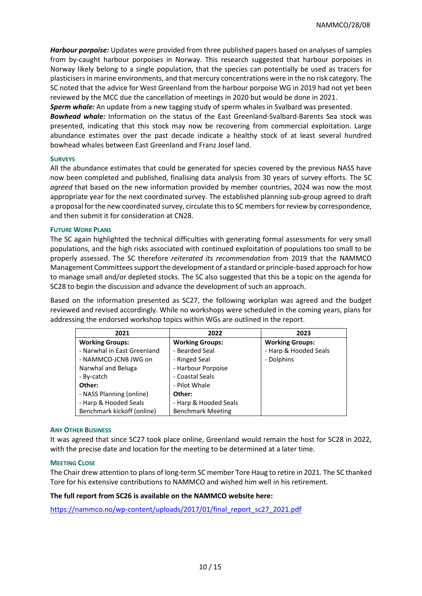*Harbour porpoise:* Updates were provided from three published papers based on analyses of samples from by-caught harbour porpoises in Norway. This research suggested that harbour porpoises in Norway likely belong to a single population, that the species can potentially be used as tracers for plasticisers in marine environments, and that mercury concentrations were in the no risk category. The SC noted that the advice for West Greenland from the harbour porpoise WG in 2019 had not yet been reviewed by the MCC due the cancellation of meetings in 2020 but would be done in 2021.

**Sperm whale:** An update from a new tagging study of sperm whales in Svalbard was presented.

*Bowhead whale:* Information on the status of the East Greenland-Svalbard-Barents Sea stock was presented, indicating that this stock may now be recovering from commercial exploitation. Large abundance estimates over the past decade indicate a healthy stock of at least several hundred bowhead whales between East Greenland and Franz Josef land.

## **SURVEYS**

All the abundance estimates that could be generated for species covered by the previous NASS have now been completed and published, finalising data analysis from 30 years of survey efforts. The SC *agreed* that based on the new information provided by member countries, 2024 was now the most appropriate year for the next coordinated survey. The established planning sub-group agreed to draft a proposal for the new coordinated survey, circulate this to SC members for review by correspondence, and then submit it for consideration at CN28.

## **FUTURE WORK PLANS**

The SC again highlighted the technical difficulties with generating formal assessments for very small populations, and the high risks associated with continued exploitation of populations too small to be properly assessed. The SC therefore *reiterated its recommendation* from 2019 that the NAMMCO Management Committees support the development of a standard or principle-based approach for how to manage small and/or depleted stocks. The SC also suggested that this be a topic on the agenda for SC28 to begin the discussion and advance the development of such an approach.

Based on the information presented as SC27, the following workplan was agreed and the budget reviewed and revised accordingly. While no workshops were scheduled in the coming years, plans for addressing the endorsed workshop topics within WGs are outlined in the report.

| 2021                        | 2022                     | 2023                   |  |
|-----------------------------|--------------------------|------------------------|--|
| <b>Working Groups:</b>      | <b>Working Groups:</b>   | <b>Working Groups:</b> |  |
| - Narwhal in East Greenland | - Bearded Seal           | - Harp & Hooded Seals  |  |
| - NAMMCO-JCNB JWG on        | - Ringed Seal            | - Dolphins             |  |
| Narwhal and Beluga          | - Harbour Porpoise       |                        |  |
| - By-catch                  | - Coastal Seals          |                        |  |
| Other:                      | - Pilot Whale            |                        |  |
| - NASS Planning (online)    | Other:                   |                        |  |
| - Harp & Hooded Seals       | - Harp & Hooded Seals    |                        |  |
| Benchmark kickoff (online)  | <b>Benchmark Meeting</b> |                        |  |

#### **ANY OTHER BUSINESS**

It was agreed that since SC27 took place online, Greenland would remain the host for SC28 in 2022, with the precise date and location for the meeting to be determined at a later time.

#### **MEETING CLOSE**

The Chair drew attention to plans of long-term SC member Tore Haug to retire in 2021. The SC thanked Tore for his extensive contributions to NAMMCO and wished him well in his retirement.

## **The full report from SC26 is available on the NAMMCO website here:**

[https://nammco.no/wp-content/uploads/2017/01/final\\_report\\_sc27\\_2021.pdf](https://nammco.no/wp-content/uploads/2017/01/final_report_sc27_2021.pdf)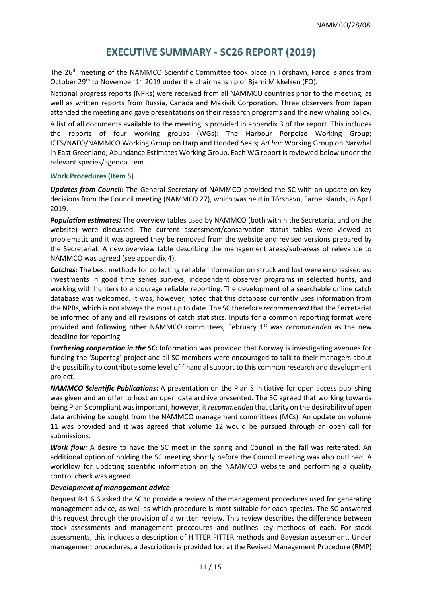# **EXECUTIVE SUMMARY - SC26 REPORT (2019)**

The 26<sup>th</sup> meeting of the NAMMCO Scientific Committee took place in Tórshavn, Faroe Islands from October 29<sup>th</sup> to November 1<sup>st</sup> 2019 under the chairmanship of Bjarni Mikkelsen (FO).

National progress reports (NPRs) were received from all NAMMCO countries prior to the meeting, as well as written reports from Russia, Canada and Makivik Corporation. Three observers from Japan attended the meeting and gave presentations on their research programs and the new whaling policy.

A list of all documents available to the meeting is provided in appendix 3 of the report. This includes the reports of four working groups (WGs): The Harbour Porpoise Working Group; ICES/NAFO/NAMMCO Working Group on Harp and Hooded Seals; *Ad hoc* Working Group on Narwhal in East Greenland; Abundance Estimates Working Group. Each WG report is reviewed below under the relevant species/agenda item.

## **Work Procedures (Item 5)**

*Updates from Council:* The General Secretary of NAMMCO provided the SC with an update on key decisions from the Council meeting (NAMMCO 27), which was held in Tórshavn, Faroe Islands, in April 2019.

*Population estimates:* The overview tables used by NAMMCO (both within the Secretariat and on the website) were discussed. The current assessment/conservation status tables were viewed as problematic and it was agreed they be removed from the website and revised versions prepared by the Secretariat. A new overview table describing the management areas/sub-areas of relevance to NAMMCO was agreed (see appendix 4).

*Catches:* The best methods for collecting reliable information on struck and lost were emphasised as: investments in good time series surveys, independent observer programs in selected hunts, and working with hunters to encourage reliable reporting. The development of a searchable online catch database was welcomed. It was, however, noted that this database currently uses information from the NPRs, which is not always the most up to date. The SC therefore *recommended* that the Secretariat be informed of any and all revisions of catch statistics. Inputs for a common reporting format were provided and following other NAMMCO committees, February 1st was *recommended* as the new deadline for reporting.

*Furthering cooperation in the SC***:** Information was provided that Norway is investigating avenues for funding the 'Supertag' project and all SC members were encouraged to talk to their managers about the possibility to contribute some level of financial support to this common research and development project.

*NAMMCO Scientific Publications***:** A presentation on the Plan S initiative for open access publishing was given and an offer to host an open data archive presented. The SC agreed that working towards being Plan S compliant was important, however, it *recommended* that clarity on the desirability of open data archiving be sought from the NAMMCO management committees (MCs). An update on volume 11 was provided and it was agreed that volume 12 would be pursued through an open call for submissions.

*Work flow:* A desire to have the SC meet in the spring and Council in the fall was reiterated. An additional option of holding the SC meeting shortly before the Council meeting was also outlined. A workflow for updating scientific information on the NAMMCO website and performing a quality control check was agreed.

## *Development of management advice*

Request R-1.6.6 asked the SC to provide a review of the management procedures used for generating management advice, as well as which procedure is most suitable for each species. The SC answered this request through the provision of a written review. This review describes the difference between stock assessments and management procedures and outlines key methods of each. For stock assessments, this includes a description of HITTER FITTER methods and Bayesian assessment. Under management procedures, a description is provided for: a) the Revised Management Procedure (RMP)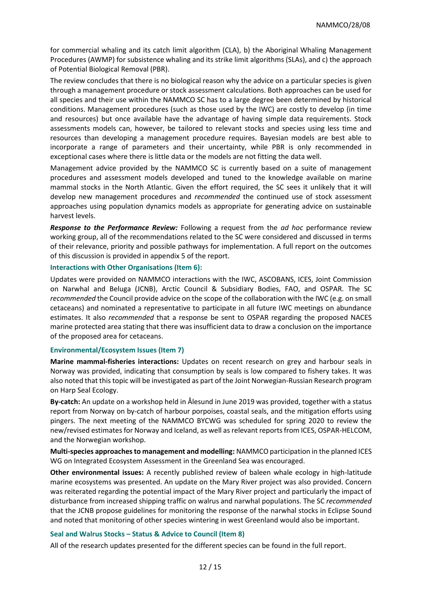for commercial whaling and its catch limit algorithm (CLA), b) the Aboriginal Whaling Management Procedures (AWMP) for subsistence whaling and its strike limit algorithms (SLAs), and c) the approach of Potential Biological Removal (PBR).

The review concludes that there is no biological reason why the advice on a particular species is given through a management procedure or stock assessment calculations. Both approaches can be used for all species and their use within the NAMMCO SC has to a large degree been determined by historical conditions. Management procedures (such as those used by the IWC) are costly to develop (in time and resources) but once available have the advantage of having simple data requirements. Stock assessments models can, however, be tailored to relevant stocks and species using less time and resources than developing a management procedure requires. Bayesian models are best able to incorporate a range of parameters and their uncertainty, while PBR is only recommended in exceptional cases where there is little data or the models are not fitting the data well.

Management advice provided by the NAMMCO SC is currently based on a suite of management procedures and assessment models developed and tuned to the knowledge available on marine mammal stocks in the North Atlantic. Given the effort required, the SC sees it unlikely that it will develop new management procedures and *recommended* the continued use of stock assessment approaches using population dynamics models as appropriate for generating advice on sustainable harvest levels.

*Response to the Performance Review:* Following a request from the *ad hoc* performance review working group, all of the recommendations related to the SC were considered and discussed in terms of their relevance, priority and possible pathways for implementation. A full report on the outcomes of this discussion is provided in appendix 5 of the report.

#### **Interactions with Other Organisations (Item 6):**

Updates were provided on NAMMCO interactions with the IWC, ASCOBANS, ICES, Joint Commission on Narwhal and Beluga (JCNB), Arctic Council & Subsidiary Bodies, FAO, and OSPAR. The SC *recommended* the Council provide advice on the scope of the collaboration with the IWC (e.g. on small cetaceans) and nominated a representative to participate in all future IWC meetings on abundance estimates. It also *recommended* that a response be sent to OSPAR regarding the proposed NACES marine protected area stating that there was insufficient data to draw a conclusion on the importance of the proposed area for cetaceans.

#### **Environmental/Ecosystem Issues (Item 7)**

**Marine mammal-fisheries interactions:** Updates on recent research on grey and harbour seals in Norway was provided, indicating that consumption by seals is low compared to fishery takes. It was also noted that this topic will be investigated as part of the Joint Norwegian-Russian Research program on Harp Seal Ecology.

**By-catch:** An update on a workshop held in Ålesund in June 2019 was provided, together with a status report from Norway on by-catch of harbour porpoises, coastal seals, and the mitigation efforts using pingers. The next meeting of the NAMMCO BYCWG was scheduled for spring 2020 to review the new/revised estimates for Norway and Iceland, as well as relevant reports from ICES, OSPAR-HELCOM, and the Norwegian workshop.

**Multi-species approaches to management and modelling:** NAMMCO participation in the planned ICES WG on Integrated Ecosystem Assessment in the Greenland Sea was encouraged.

**Other environmental issues:** A recently published review of baleen whale ecology in high-latitude marine ecosystems was presented. An update on the Mary River project was also provided. Concern was reiterated regarding the potential impact of the Mary River project and particularly the impact of disturbance from increased shipping traffic on walrus and narwhal populations. The SC *recommended* that the JCNB propose guidelines for monitoring the response of the narwhal stocks in Eclipse Sound and noted that monitoring of other species wintering in west Greenland would also be important.

#### **Seal and Walrus Stocks – Status & Advice to Council (Item 8)**

All of the research updates presented for the different species can be found in the full report.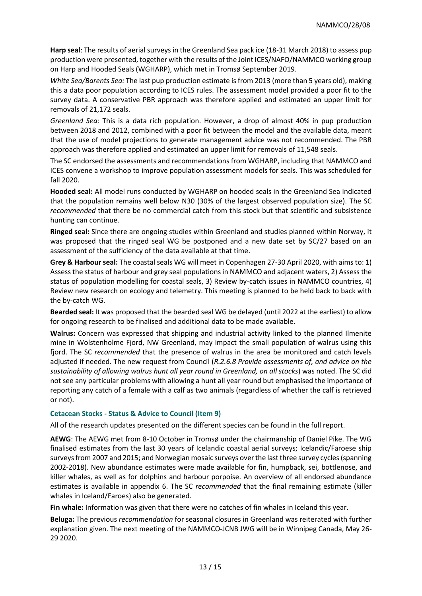**Harp seal**: The results of aerial surveys in the Greenland Sea pack ice (18-31 March 2018) to assess pup production were presented, together with the results of the Joint ICES/NAFO/NAMMCO working group on Harp and Hooded Seals (WGHARP), which met in Tromsø September 2019.

*White Sea/Barents Sea:* The last pup production estimate is from 2013 (more than 5 years old), making this a data poor population according to ICES rules. The assessment model provided a poor fit to the survey data. A conservative PBR approach was therefore applied and estimated an upper limit for removals of 21,172 seals.

*Greenland Sea:* This is a data rich population. However, a drop of almost 40% in pup production between 2018 and 2012, combined with a poor fit between the model and the available data, meant that the use of model projections to generate management advice was not recommended. The PBR approach was therefore applied and estimated an upper limit for removals of 11,548 seals.

The SC endorsed the assessments and recommendations from WGHARP, including that NAMMCO and ICES convene a workshop to improve population assessment models for seals. This was scheduled for fall 2020.

**Hooded seal:** All model runs conducted by WGHARP on hooded seals in the Greenland Sea indicated that the population remains well below N30 (30% of the largest observed population size). The SC *recommended* that there be no commercial catch from this stock but that scientific and subsistence hunting can continue.

**Ringed seal:** Since there are ongoing studies within Greenland and studies planned within Norway, it was proposed that the ringed seal WG be postponed and a new date set by SC/27 based on an assessment of the sufficiency of the data available at that time.

**Grey & Harbour seal:** The coastal seals WG will meet in Copenhagen 27-30 April 2020, with aims to: 1) Assess the status of harbour and grey seal populations in NAMMCO and adjacent waters, 2) Assess the status of population modelling for coastal seals, 3) Review by-catch issues in NAMMCO countries, 4) Review new research on ecology and telemetry. This meeting is planned to be held back to back with the by-catch WG.

**Bearded seal:** It was proposed that the bearded seal WG be delayed (until 2022 at the earliest) to allow for ongoing research to be finalised and additional data to be made available.

**Walrus:** Concern was expressed that shipping and industrial activity linked to the planned Ilmenite mine in Wolstenholme Fjord, NW Greenland, may impact the small population of walrus using this fjord. The SC *recommended* that the presence of walrus in the area be monitored and catch levels adjusted if needed. The new request from Council (*R.2.6.8 Provide assessments of, and advice on the sustainability of allowing walrus hunt all year round in Greenland, on all stocks*) was noted. The SC did not see any particular problems with allowing a hunt all year round but emphasised the importance of reporting any catch of a female with a calf as two animals (regardless of whether the calf is retrieved or not).

## **Cetacean Stocks - Status & Advice to Council (Item 9)**

All of the research updates presented on the different species can be found in the full report.

**AEWG**: The AEWG met from 8-10 October in Tromsø under the chairmanship of Daniel Pike. The WG finalised estimates from the last 30 years of Icelandic coastal aerial surveys; Icelandic/Faroese ship surveys from 2007 and 2015; and Norwegian mosaic surveys over the last three survey cycles (spanning 2002-2018). New abundance estimates were made available for fin, humpback, sei, bottlenose, and killer whales, as well as for dolphins and harbour porpoise. An overview of all endorsed abundance estimates is available in appendix 6. The SC *recommended* that the final remaining estimate (killer whales in Iceland/Faroes) also be generated.

**Fin whale:** Information was given that there were no catches of fin whales in Iceland this year.

**Beluga:** The previous *recommendation* for seasonal closures in Greenland was reiterated with further explanation given. The next meeting of the NAMMCO-JCNB JWG will be in Winnipeg Canada, May 26- 29 2020.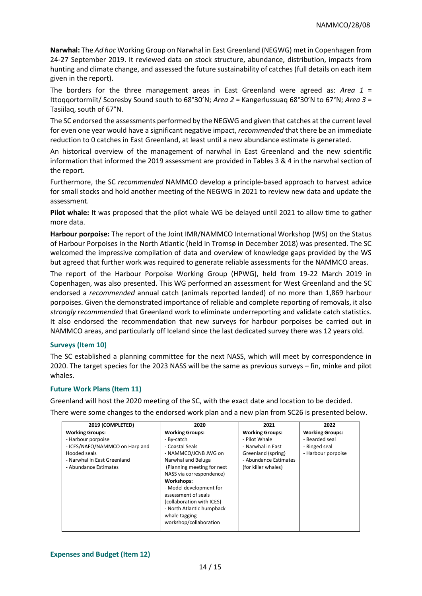**Narwhal:** The *Ad hoc* Working Group on Narwhal in East Greenland (NEGWG) met in Copenhagen from 24-27 September 2019. It reviewed data on stock structure, abundance, distribution, impacts from hunting and climate change, and assessed the future sustainability of catches (full details on each item given in the report).

The borders for the three management areas in East Greenland were agreed as: *Area 1* = Ittoqqortormiit/ Scoresby Sound south to 68°30'N; *Area 2* = Kangerlussuaq 68°30'N to 67°N; *Area 3* = Tasiilaq, south of 67°N.

The SC endorsed the assessments performed by the NEGWG and given that catches at the current level for even one year would have a significant negative impact, *recommended* that there be an immediate reduction to 0 catches in East Greenland, at least until a new abundance estimate is generated.

An historical overview of the management of narwhal in East Greenland and the new scientific information that informed the 2019 assessment are provided in Tables 3 & 4 in the narwhal section of the report.

Furthermore, the SC *recommended* NAMMCO develop a principle-based approach to harvest advice for small stocks and hold another meeting of the NEGWG in 2021 to review new data and update the assessment.

**Pilot whale:** It was proposed that the pilot whale WG be delayed until 2021 to allow time to gather more data.

**Harbour porpoise:** The report of the Joint IMR/NAMMCO International Workshop (WS) on the Status of Harbour Porpoises in the North Atlantic (held in Tromsø in December 2018) was presented. The SC welcomed the impressive compilation of data and overview of knowledge gaps provided by the WS but agreed that further work was required to generate reliable assessments for the NAMMCO areas.

The report of the Harbour Porpoise Working Group (HPWG), held from 19-22 March 2019 in Copenhagen, was also presented. This WG performed an assessment for West Greenland and the SC endorsed a *recommended* annual catch (animals reported landed) of no more than 1,869 harbour porpoises. Given the demonstrated importance of reliable and complete reporting of removals, it also *strongly recommended* that Greenland work to eliminate underreporting and validate catch statistics. It also endorsed the recommendation that new surveys for harbour porpoises be carried out in NAMMCO areas, and particularly off Iceland since the last dedicated survey there was 12 years old.

## **Surveys (Item 10)**

The SC established a planning committee for the next NASS, which will meet by correspondence in 2020. The target species for the 2023 NASS will be the same as previous surveys – fin, minke and pilot whales.

## **Future Work Plans (Item 11)**

Greenland will host the 2020 meeting of the SC, with the exact date and location to be decided. There were some changes to the endorsed work plan and a new plan from SC26 is presented below.

| 2019 (COMPLETED)                                                                                                              | 2020                                                                                                                                                                                                                         | 2021                                                                                                        | 2022                                                                            |
|-------------------------------------------------------------------------------------------------------------------------------|------------------------------------------------------------------------------------------------------------------------------------------------------------------------------------------------------------------------------|-------------------------------------------------------------------------------------------------------------|---------------------------------------------------------------------------------|
| <b>Working Groups:</b><br>- Harbour porpoise<br>- ICES/NAFO/NAMMCO on Harp and<br>Hooded seals<br>- Narwhal in East Greenland | <b>Working Groups:</b><br>- By-catch<br>- Coastal Seals<br>- NAMMCO/JCNB JWG on<br>Narwhal and Beluga                                                                                                                        | <b>Working Groups:</b><br>- Pilot Whale<br>- Narwhal in East<br>Greenland (spring)<br>- Abundance Estimates | <b>Working Groups:</b><br>- Bearded seal<br>- Ringed seal<br>- Harbour porpoise |
| - Abundance Estimates                                                                                                         | (Planning meeting for next)<br>NASS via correspondence)<br>Workshops:<br>- Model development for<br>assessment of seals<br>(collaboration with ICES)<br>- North Atlantic humpback<br>whale tagging<br>workshop/collaboration | (for killer whales)                                                                                         |                                                                                 |